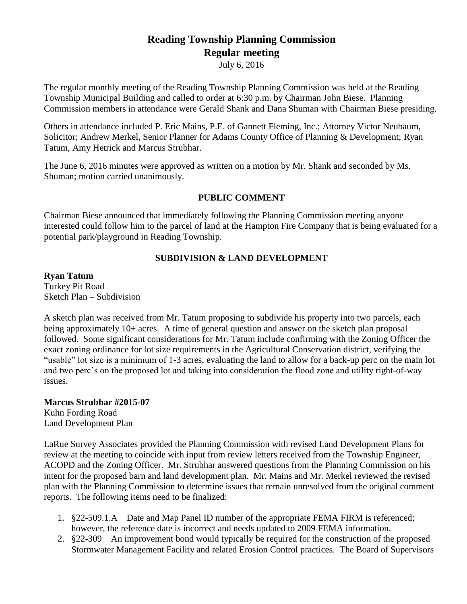# **Reading Township Planning Commission Regular meeting**

July 6, 2016

The regular monthly meeting of the Reading Township Planning Commission was held at the Reading Township Municipal Building and called to order at 6:30 p.m. by Chairman John Biese. Planning Commission members in attendance were Gerald Shank and Dana Shuman with Chairman Biese presiding.

Others in attendance included P. Eric Mains, P.E. of Gannett Fleming, Inc.; Attorney Victor Neubaum, Solicitor; Andrew Merkel, Senior Planner for Adams County Office of Planning & Development; Ryan Tatum, Amy Hetrick and Marcus Strubhar.

The June 6, 2016 minutes were approved as written on a motion by Mr. Shank and seconded by Ms. Shuman; motion carried unanimously.

## **PUBLIC COMMENT**

Chairman Biese announced that immediately following the Planning Commission meeting anyone interested could follow him to the parcel of land at the Hampton Fire Company that is being evaluated for a potential park/playground in Reading Township.

## **SUBDIVISION & LAND DEVELOPMENT**

**Ryan Tatum** Turkey Pit Road Sketch Plan – Subdivision

A sketch plan was received from Mr. Tatum proposing to subdivide his property into two parcels, each being approximately 10+ acres. A time of general question and answer on the sketch plan proposal followed. Some significant considerations for Mr. Tatum include confirming with the Zoning Officer the exact zoning ordinance for lot size requirements in the Agricultural Conservation district, verifying the "usable" lot size is a minimum of 1-3 acres, evaluating the land to allow for a back-up perc on the main lot and two perc's on the proposed lot and taking into consideration the flood zone and utility right-of-way issues.

**Marcus Strubhar #2015-07** Kuhn Fording Road Land Development Plan

LaRue Survey Associates provided the Planning Commission with revised Land Development Plans for review at the meeting to coincide with input from review letters received from the Township Engineer, ACOPD and the Zoning Officer. Mr. Strubhar answered questions from the Planning Commission on his intent for the proposed barn and land development plan. Mr. Mains and Mr. Merkel reviewed the revised plan with the Planning Commission to determine issues that remain unresolved from the original comment reports. The following items need to be finalized:

- 1. §22-509.1.A Date and Map Panel ID number of the appropriate FEMA FIRM is referenced; however, the reference date is incorrect and needs updated to 2009 FEMA information.
- 2. §22-309 An improvement bond would typically be required for the construction of the proposed Stormwater Management Facility and related Erosion Control practices. The Board of Supervisors